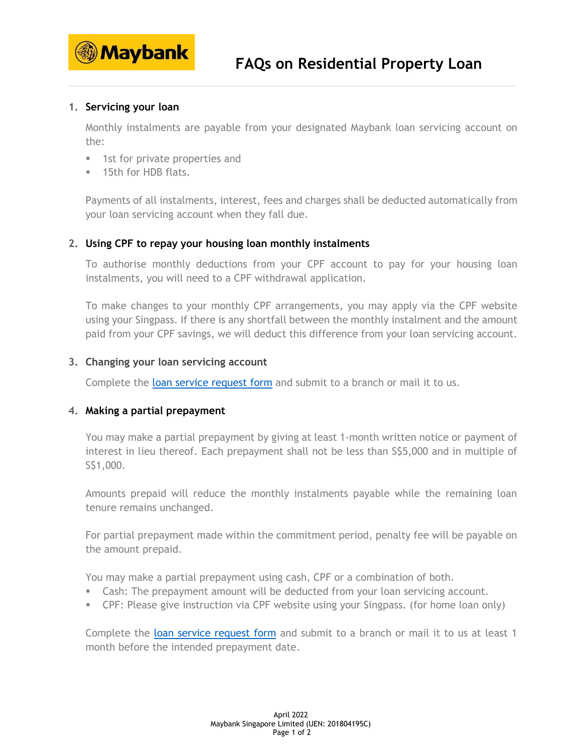

# **1. Servicing your loan**

Monthly instalments are payable from your designated Maybank loan servicing account on the:

- **1st for private properties and**
- **15th for HDB flats.**

Payments of all instalments, interest, fees and charges shall be deducted automatically from your loan servicing account when they fall due.

#### **2. Using CPF to repay your housing loan monthly instalments**

To authorise monthly deductions from your CPF account to pay for your housing loan instalments, you will need to a CPF withdrawal application.

To make changes to your monthly CPF arrangements, you may apply via the CPF website using your Singpass. If there is any shortfall between the monthly instalment and the amount paid from your CPF savings, we will deduct this difference from your loan servicing account.

#### **3. Changing your loan servicing account**

Complete the [loan service request form](https://www.maybank2u.com.sg/iwov-resources/sg/pdf/loans/loan_request_form.pdf) and submit to a branch or mail it to us.

### **4. Making a partial prepayment**

You may make a partial prepayment by giving at least 1-month written notice or payment of interest in lieu thereof. Each prepayment shall not be less than S\$5,000 and in multiple of S\$1,000.

Amounts prepaid will reduce the monthly instalments payable while the remaining loan tenure remains unchanged.

For partial prepayment made within the commitment period, penalty fee will be payable on the amount prepaid.

You may make a partial prepayment using cash, CPF or a combination of both.

- Cash: The prepayment amount will be deducted from your loan servicing account.
- CPF: Please give instruction via CPF website using your Singpass. (for home loan only)

Complete the [loan service request form](https://www.maybank2u.com.sg/iwov-resources/sg/pdf/loans/loan_request_form.pdf) and submit to a branch or mail it to us at least 1 month before the intended prepayment date.